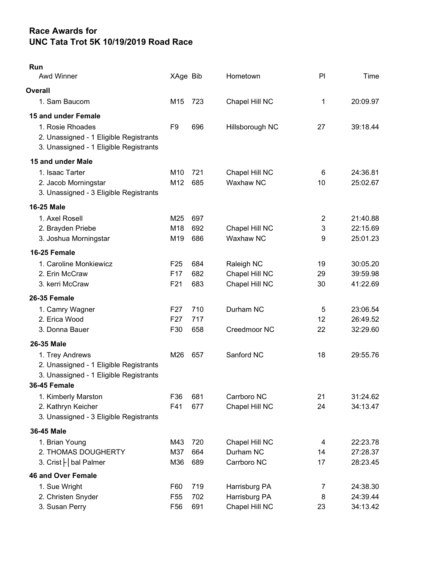## Race Awards for UNC Tata Trot 5K 10/19/2019 Road Race

| Run<br>Awd Winner                                                                                                           | XAge Bib                                              |                   | Hometown                                         | PI                       | Time                             |
|-----------------------------------------------------------------------------------------------------------------------------|-------------------------------------------------------|-------------------|--------------------------------------------------|--------------------------|----------------------------------|
| Overall                                                                                                                     |                                                       |                   |                                                  |                          |                                  |
| 1. Sam Baucom                                                                                                               | M <sub>15</sub>                                       | 723               | Chapel Hill NC                                   | 1                        | 20:09.97                         |
| 15 and under Female<br>1. Rosie Rhoades<br>2. Unassigned - 1 Eligible Registrants<br>3. Unassigned - 1 Eligible Registrants | F9                                                    | 696               | Hillsborough NC                                  | 27                       | 39:18.44                         |
| 15 and under Male                                                                                                           |                                                       |                   |                                                  |                          |                                  |
| 1. Isaac Tarter<br>2. Jacob Morningstar<br>3. Unassigned - 3 Eligible Registrants                                           | M <sub>10</sub><br>M12                                | 721<br>685        | Chapel Hill NC<br>Waxhaw NC                      | 6<br>10                  | 24:36.81<br>25:02.67             |
| <b>16-25 Male</b>                                                                                                           |                                                       |                   |                                                  |                          |                                  |
| 1. Axel Rosell<br>2. Brayden Priebe<br>3. Joshua Morningstar                                                                | M25<br>M18<br>M19                                     | 697<br>692<br>686 | Chapel Hill NC<br>Waxhaw NC                      | $\overline{2}$<br>3<br>9 | 21:40.88<br>22:15.69<br>25:01.23 |
| 16-25 Female                                                                                                                |                                                       |                   |                                                  |                          |                                  |
| 1. Caroline Monkiewicz<br>2. Erin McCraw<br>3. kerri McCraw                                                                 | F <sub>25</sub><br>F <sub>17</sub><br>F <sub>21</sub> | 684<br>682<br>683 | Raleigh NC<br>Chapel Hill NC<br>Chapel Hill NC   | 19<br>29<br>30           | 30:05.20<br>39:59.98<br>41:22.69 |
| 26-35 Female                                                                                                                |                                                       |                   |                                                  |                          |                                  |
| 1. Camry Wagner<br>2. Erica Wood<br>3. Donna Bauer                                                                          | F27<br>F <sub>27</sub><br>F30                         | 710<br>717<br>658 | Durham NC<br>Creedmoor NC                        | 5<br>12<br>22            | 23:06.54<br>26:49.52<br>32:29.60 |
| 26-35 Male                                                                                                                  |                                                       |                   |                                                  |                          |                                  |
| 1. Trey Andrews<br>2. Unassigned - 1 Eligible Registrants<br>3. Unassigned - 1 Eligible Registrants                         | M26                                                   | 657               | Sanford NC                                       | 18                       | 29:55.76                         |
| <b>36-45 Female</b>                                                                                                         |                                                       |                   |                                                  |                          |                                  |
| 1. Kimberly Marston<br>2. Kathryn Keicher<br>3. Unassigned - 3 Eligible Registrants                                         | F36<br>F41                                            | 681<br>677        | Carrboro NC<br>Chapel Hill NC                    | 21<br>24                 | 31:24.62<br>34:13.47             |
| 36-45 Male                                                                                                                  |                                                       |                   |                                                  |                          |                                  |
| 1. Brian Young<br>2. THOMAS DOUGHERTY<br>3. Crist   bal Palmer                                                              | M43<br>M37<br>M36                                     | 720<br>664<br>689 | Chapel Hill NC<br>Durham NC<br>Carrboro NC       | 4<br>14<br>17            | 22:23.78<br>27:28.37<br>28:23.45 |
| <b>46 and Over Female</b>                                                                                                   |                                                       |                   |                                                  |                          |                                  |
| 1. Sue Wright<br>2. Christen Snyder<br>3. Susan Perry                                                                       | F60<br>F <sub>55</sub><br>F56                         | 719<br>702<br>691 | Harrisburg PA<br>Harrisburg PA<br>Chapel Hill NC | 7<br>8<br>23             | 24:38.30<br>24:39.44<br>34:13.42 |